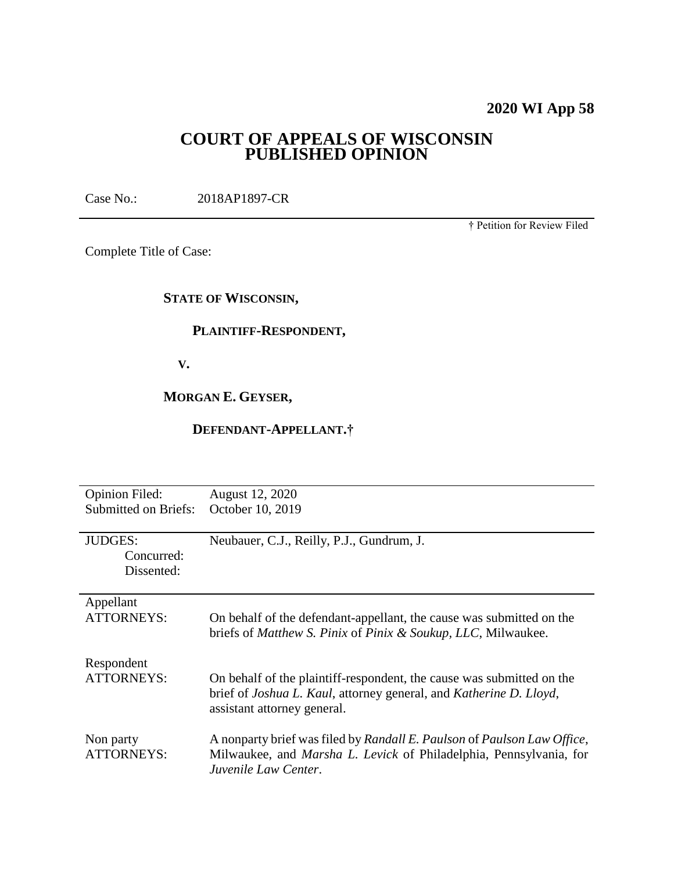# **2020 WI App 58**

# **COURT OF APPEALS OF WISCONSIN PUBLISHED OPINION**

Case No.: 2018AP1897-CR

† Petition for Review Filed

Complete Title of Case:

# **STATE OF WISCONSIN,**

## **PLAINTIFF-RESPONDENT,**

 **V.**

**MORGAN E. GEYSER,**

# **DEFENDANT-APPELLANT.†**

| <b>Opinion Filed:</b><br><b>Submitted on Briefs:</b> | August 12, 2020<br>October 10, 2019                                                                                                                                                        |
|------------------------------------------------------|--------------------------------------------------------------------------------------------------------------------------------------------------------------------------------------------|
| <b>JUDGES:</b><br>Concurred:<br>Dissented:           | Neubauer, C.J., Reilly, P.J., Gundrum, J.                                                                                                                                                  |
| Appellant<br><b>ATTORNEYS:</b>                       | On behalf of the defendant-appellant, the cause was submitted on the<br>briefs of Matthew S. Pinix of Pinix & Soukup, LLC, Milwaukee.                                                      |
| Respondent<br><b>ATTORNEYS:</b>                      | On behalf of the plaintiff-respondent, the cause was submitted on the<br>brief of <i>Joshua L. Kaul</i> , attorney general, and <i>Katherine D. Lloyd</i> ,<br>assistant attorney general. |
| Non party<br><b>ATTORNEYS:</b>                       | A nonparty brief was filed by Randall E. Paulson of Paulson Law Office,<br>Milwaukee, and <i>Marsha L. Levick</i> of Philadelphia, Pennsylvania, for<br>Juvenile Law Center.               |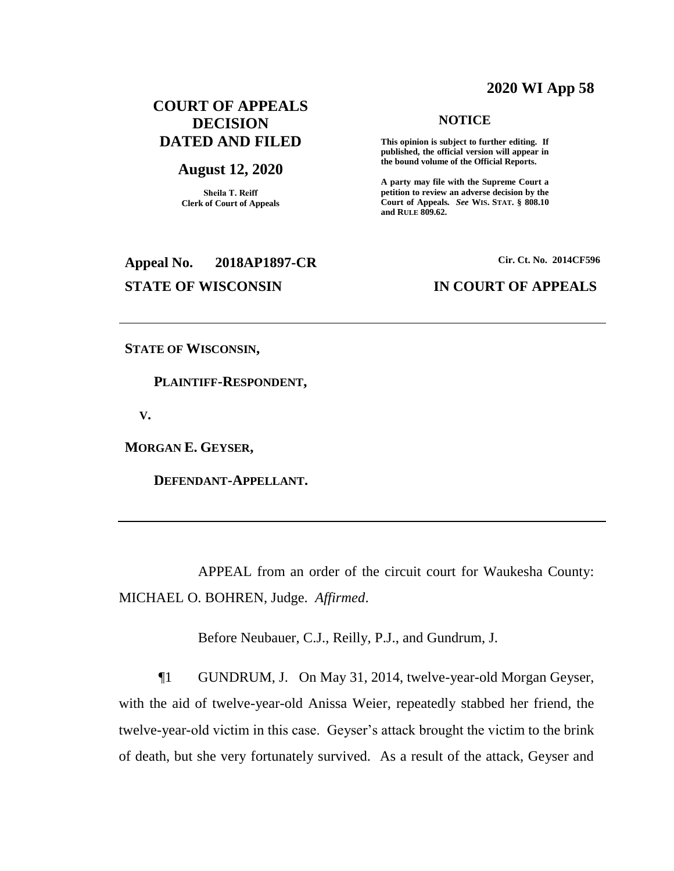### **2020 WI App 58**

# **COURT OF APPEALS DECISION DATED AND FILED**

### **August 12, 2020**

**Sheila T. Reiff Clerk of Court of Appeals** **NOTICE**

**This opinion is subject to further editing. If published, the official version will appear in the bound volume of the Official Reports.** 

**A party may file with the Supreme Court a petition to review an adverse decision by the Court of Appeals.** *See* **WIS. STAT. § 808.10 and RULE 809.62.** 

# **Appeal No. 2018AP1897-CR Cir. Ct. No. 2014CF596 STATE OF WISCONSIN IN COURT OF APPEALS**

**STATE OF WISCONSIN,**

 **PLAINTIFF-RESPONDENT,**

 **V.**

**MORGAN E. GEYSER,**

 **DEFENDANT-APPELLANT.**

APPEAL from an order of the circuit court for Waukesha County: MICHAEL O. BOHREN, Judge. *Affirmed*.

Before Neubauer, C.J., Reilly, P.J., and Gundrum, J.

¶1 GUNDRUM, J. On May 31, 2014, twelve-year-old Morgan Geyser, with the aid of twelve-year-old Anissa Weier, repeatedly stabbed her friend, the twelve-year-old victim in this case. Geyser's attack brought the victim to the brink of death, but she very fortunately survived. As a result of the attack, Geyser and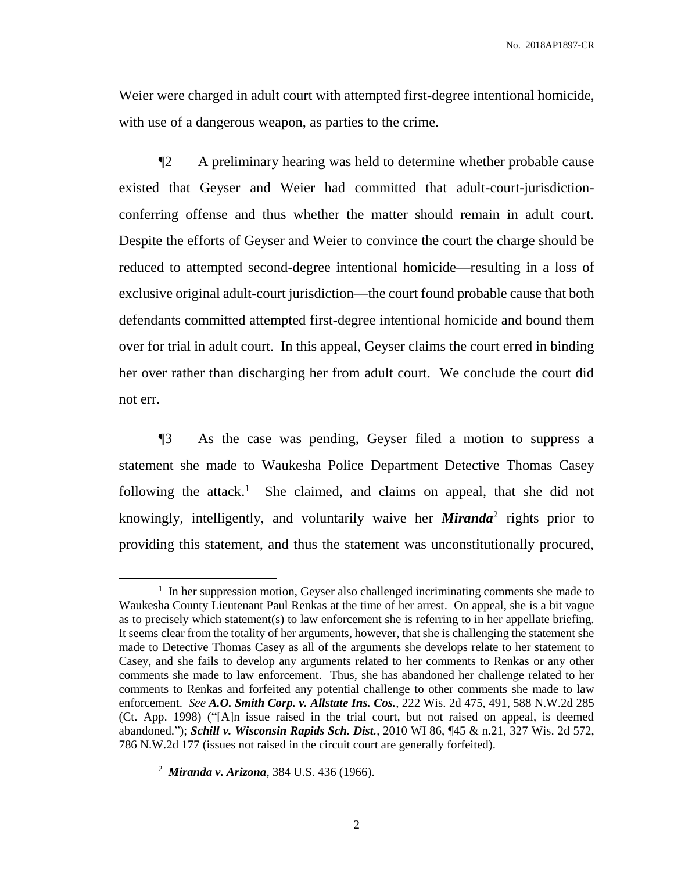Weier were charged in adult court with attempted first-degree intentional homicide, with use of a dangerous weapon, as parties to the crime.

¶2 A preliminary hearing was held to determine whether probable cause existed that Geyser and Weier had committed that adult-court-jurisdictionconferring offense and thus whether the matter should remain in adult court. Despite the efforts of Geyser and Weier to convince the court the charge should be reduced to attempted second-degree intentional homicide—resulting in a loss of exclusive original adult-court jurisdiction—the court found probable cause that both defendants committed attempted first-degree intentional homicide and bound them over for trial in adult court. In this appeal, Geyser claims the court erred in binding her over rather than discharging her from adult court. We conclude the court did not err.

¶3 As the case was pending, Geyser filed a motion to suppress a statement she made to Waukesha Police Department Detective Thomas Casey following the attack.<sup>1</sup> She claimed, and claims on appeal, that she did not knowingly, intelligently, and voluntarily waive her *Miranda*<sup>2</sup> rights prior to providing this statement, and thus the statement was unconstitutionally procured,

<sup>&</sup>lt;sup>1</sup> In her suppression motion, Geyser also challenged incriminating comments she made to Waukesha County Lieutenant Paul Renkas at the time of her arrest. On appeal, she is a bit vague as to precisely which statement(s) to law enforcement she is referring to in her appellate briefing. It seems clear from the totality of her arguments, however, that she is challenging the statement she made to Detective Thomas Casey as all of the arguments she develops relate to her statement to Casey, and she fails to develop any arguments related to her comments to Renkas or any other comments she made to law enforcement. Thus, she has abandoned her challenge related to her comments to Renkas and forfeited any potential challenge to other comments she made to law enforcement. *See A.O. Smith Corp. v. Allstate Ins. Cos.*, 222 Wis. 2d 475, 491, 588 N.W.2d 285 (Ct. App. 1998) ("[A]n issue raised in the trial court, but not raised on appeal, is deemed abandoned."); *Schill v. Wisconsin Rapids Sch. Dist.*, 2010 WI 86, ¶45 & n.21, 327 Wis. 2d 572, 786 N.W.2d 177 (issues not raised in the circuit court are generally forfeited).

<sup>2</sup> *Miranda v. Arizona*, 384 U.S. 436 (1966).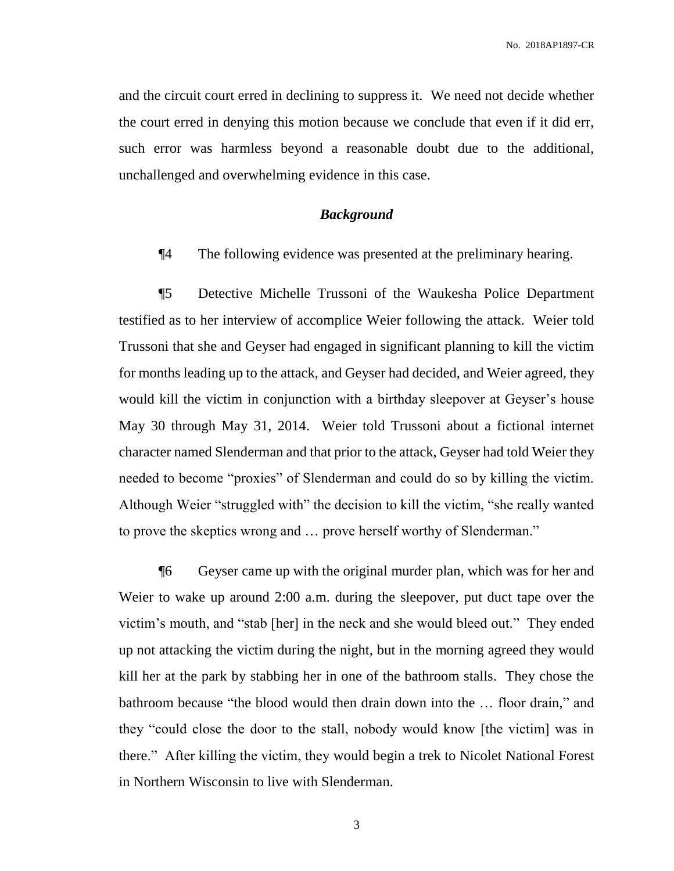and the circuit court erred in declining to suppress it. We need not decide whether the court erred in denying this motion because we conclude that even if it did err, such error was harmless beyond a reasonable doubt due to the additional, unchallenged and overwhelming evidence in this case.

### *Background*

¶4 The following evidence was presented at the preliminary hearing.

¶5 Detective Michelle Trussoni of the Waukesha Police Department testified as to her interview of accomplice Weier following the attack. Weier told Trussoni that she and Geyser had engaged in significant planning to kill the victim for months leading up to the attack, and Geyser had decided, and Weier agreed, they would kill the victim in conjunction with a birthday sleepover at Geyser's house May 30 through May 31, 2014. Weier told Trussoni about a fictional internet character named Slenderman and that prior to the attack, Geyser had told Weier they needed to become "proxies" of Slenderman and could do so by killing the victim. Although Weier "struggled with" the decision to kill the victim, "she really wanted to prove the skeptics wrong and … prove herself worthy of Slenderman."

¶6 Geyser came up with the original murder plan, which was for her and Weier to wake up around 2:00 a.m. during the sleepover, put duct tape over the victim's mouth, and "stab [her] in the neck and she would bleed out." They ended up not attacking the victim during the night, but in the morning agreed they would kill her at the park by stabbing her in one of the bathroom stalls. They chose the bathroom because "the blood would then drain down into the … floor drain," and they "could close the door to the stall, nobody would know [the victim] was in there." After killing the victim, they would begin a trek to Nicolet National Forest in Northern Wisconsin to live with Slenderman.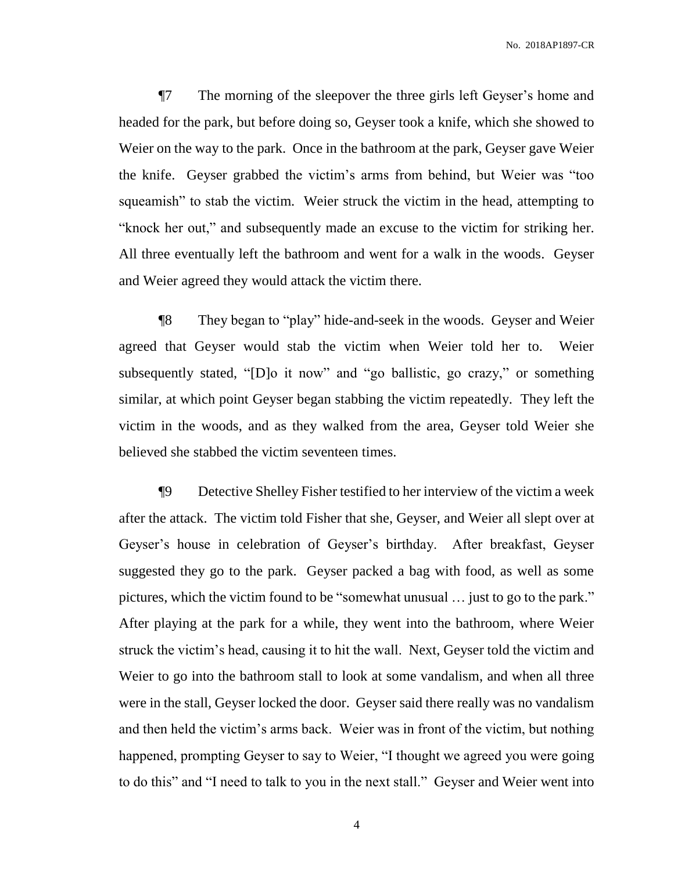¶7 The morning of the sleepover the three girls left Geyser's home and headed for the park, but before doing so, Geyser took a knife, which she showed to Weier on the way to the park. Once in the bathroom at the park, Geyser gave Weier the knife. Geyser grabbed the victim's arms from behind, but Weier was "too squeamish" to stab the victim. Weier struck the victim in the head, attempting to "knock her out," and subsequently made an excuse to the victim for striking her. All three eventually left the bathroom and went for a walk in the woods. Geyser and Weier agreed they would attack the victim there.

¶8 They began to "play" hide-and-seek in the woods. Geyser and Weier agreed that Geyser would stab the victim when Weier told her to. Weier subsequently stated, "[D]o it now" and "go ballistic, go crazy," or something similar, at which point Geyser began stabbing the victim repeatedly. They left the victim in the woods, and as they walked from the area, Geyser told Weier she believed she stabbed the victim seventeen times.

¶9 Detective Shelley Fisher testified to her interview of the victim a week after the attack. The victim told Fisher that she, Geyser, and Weier all slept over at Geyser's house in celebration of Geyser's birthday. After breakfast, Geyser suggested they go to the park. Geyser packed a bag with food, as well as some pictures, which the victim found to be "somewhat unusual … just to go to the park." After playing at the park for a while, they went into the bathroom, where Weier struck the victim's head, causing it to hit the wall. Next, Geyser told the victim and Weier to go into the bathroom stall to look at some vandalism, and when all three were in the stall, Geyser locked the door. Geyser said there really was no vandalism and then held the victim's arms back. Weier was in front of the victim, but nothing happened, prompting Geyser to say to Weier, "I thought we agreed you were going to do this" and "I need to talk to you in the next stall." Geyser and Weier went into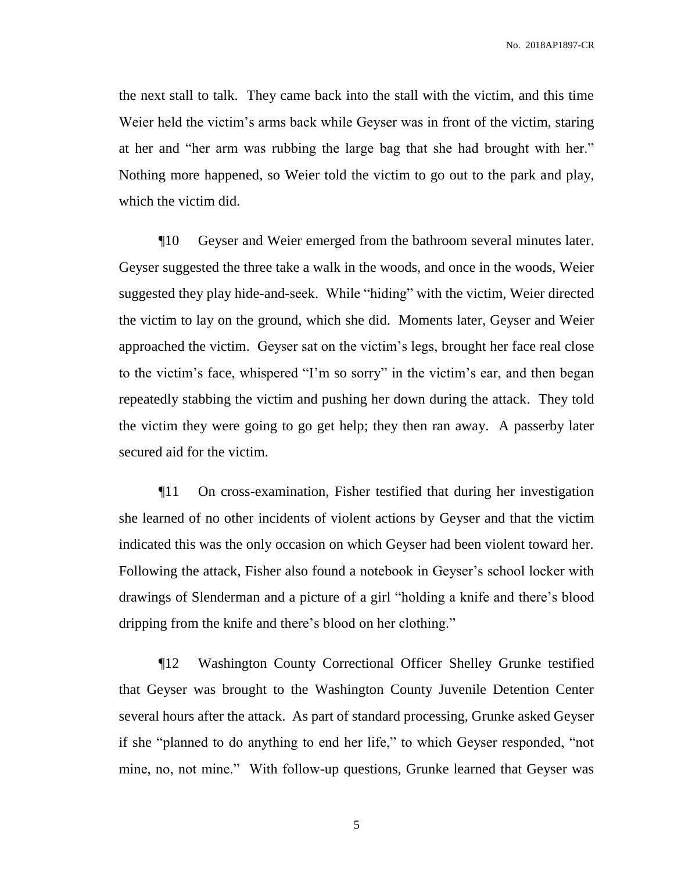the next stall to talk. They came back into the stall with the victim, and this time Weier held the victim's arms back while Geyser was in front of the victim, staring at her and "her arm was rubbing the large bag that she had brought with her." Nothing more happened, so Weier told the victim to go out to the park and play, which the victim did.

¶10 Geyser and Weier emerged from the bathroom several minutes later. Geyser suggested the three take a walk in the woods, and once in the woods, Weier suggested they play hide-and-seek. While "hiding" with the victim, Weier directed the victim to lay on the ground, which she did. Moments later, Geyser and Weier approached the victim. Geyser sat on the victim's legs, brought her face real close to the victim's face, whispered "I'm so sorry" in the victim's ear, and then began repeatedly stabbing the victim and pushing her down during the attack. They told the victim they were going to go get help; they then ran away. A passerby later secured aid for the victim.

¶11 On cross-examination, Fisher testified that during her investigation she learned of no other incidents of violent actions by Geyser and that the victim indicated this was the only occasion on which Geyser had been violent toward her. Following the attack, Fisher also found a notebook in Geyser's school locker with drawings of Slenderman and a picture of a girl "holding a knife and there's blood dripping from the knife and there's blood on her clothing."

¶12 Washington County Correctional Officer Shelley Grunke testified that Geyser was brought to the Washington County Juvenile Detention Center several hours after the attack. As part of standard processing, Grunke asked Geyser if she "planned to do anything to end her life," to which Geyser responded, "not mine, no, not mine." With follow-up questions, Grunke learned that Geyser was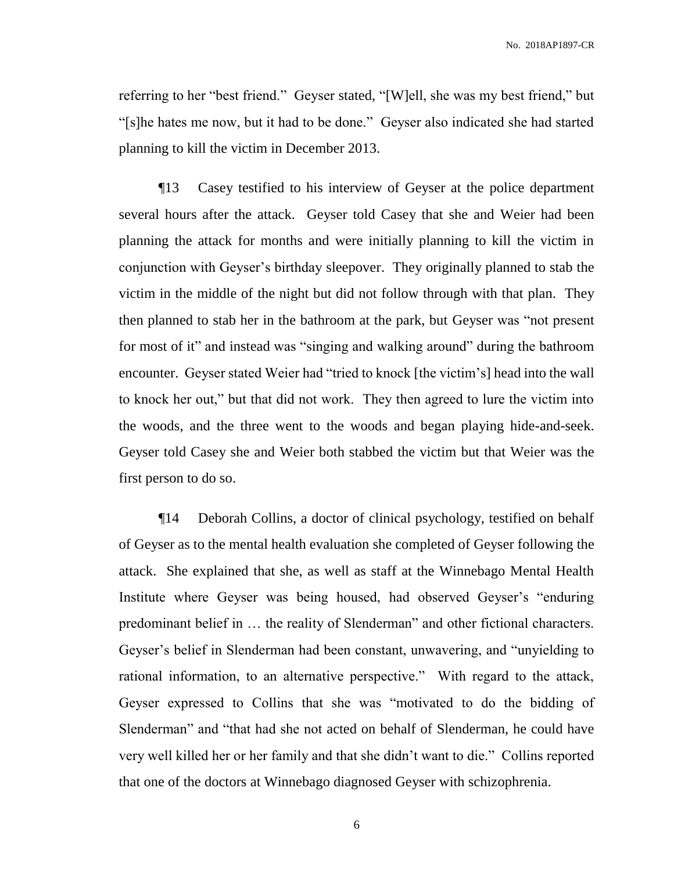referring to her "best friend." Geyser stated, "[W]ell, she was my best friend," but "[s]he hates me now, but it had to be done." Geyser also indicated she had started planning to kill the victim in December 2013.

¶13 Casey testified to his interview of Geyser at the police department several hours after the attack. Geyser told Casey that she and Weier had been planning the attack for months and were initially planning to kill the victim in conjunction with Geyser's birthday sleepover. They originally planned to stab the victim in the middle of the night but did not follow through with that plan. They then planned to stab her in the bathroom at the park, but Geyser was "not present for most of it" and instead was "singing and walking around" during the bathroom encounter. Geyser stated Weier had "tried to knock [the victim's] head into the wall to knock her out," but that did not work. They then agreed to lure the victim into the woods, and the three went to the woods and began playing hide-and-seek. Geyser told Casey she and Weier both stabbed the victim but that Weier was the first person to do so.

¶14 Deborah Collins, a doctor of clinical psychology, testified on behalf of Geyser as to the mental health evaluation she completed of Geyser following the attack. She explained that she, as well as staff at the Winnebago Mental Health Institute where Geyser was being housed, had observed Geyser's "enduring predominant belief in … the reality of Slenderman" and other fictional characters. Geyser's belief in Slenderman had been constant, unwavering, and "unyielding to rational information, to an alternative perspective." With regard to the attack, Geyser expressed to Collins that she was "motivated to do the bidding of Slenderman" and "that had she not acted on behalf of Slenderman, he could have very well killed her or her family and that she didn't want to die." Collins reported that one of the doctors at Winnebago diagnosed Geyser with schizophrenia.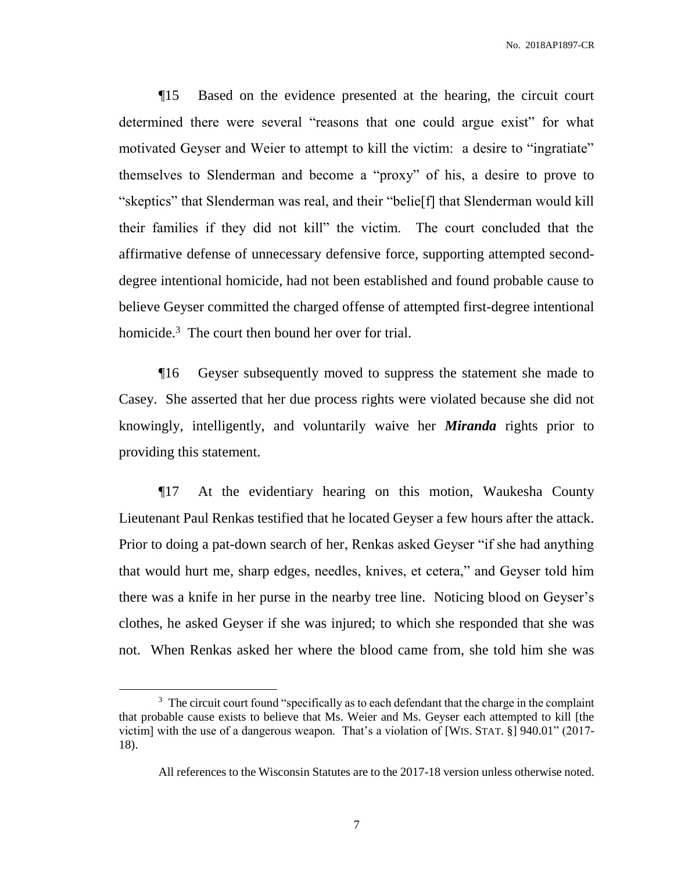¶15 Based on the evidence presented at the hearing, the circuit court determined there were several "reasons that one could argue exist" for what motivated Geyser and Weier to attempt to kill the victim: a desire to "ingratiate" themselves to Slenderman and become a "proxy" of his, a desire to prove to "skeptics" that Slenderman was real, and their "belie[f] that Slenderman would kill their families if they did not kill" the victim. The court concluded that the affirmative defense of unnecessary defensive force, supporting attempted seconddegree intentional homicide, had not been established and found probable cause to believe Geyser committed the charged offense of attempted first-degree intentional homicide.<sup>3</sup> The court then bound her over for trial.

¶16 Geyser subsequently moved to suppress the statement she made to Casey. She asserted that her due process rights were violated because she did not knowingly, intelligently, and voluntarily waive her *Miranda* rights prior to providing this statement.

¶17 At the evidentiary hearing on this motion, Waukesha County Lieutenant Paul Renkas testified that he located Geyser a few hours after the attack. Prior to doing a pat-down search of her, Renkas asked Geyser "if she had anything that would hurt me, sharp edges, needles, knives, et cetera," and Geyser told him there was a knife in her purse in the nearby tree line. Noticing blood on Geyser's clothes, he asked Geyser if she was injured; to which she responded that she was not. When Renkas asked her where the blood came from, she told him she was

 $3$  The circuit court found "specifically as to each defendant that the charge in the complaint that probable cause exists to believe that Ms. Weier and Ms. Geyser each attempted to kill [the victim] with the use of a dangerous weapon. That's a violation of [WIS. STAT. §] 940.01" (2017- 18).

All references to the Wisconsin Statutes are to the 2017-18 version unless otherwise noted.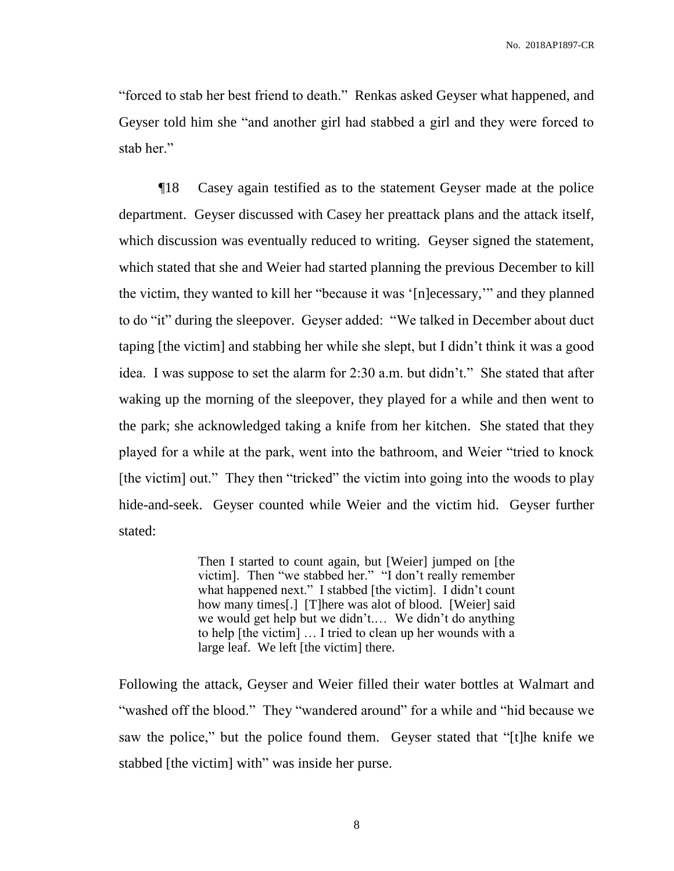"forced to stab her best friend to death." Renkas asked Geyser what happened, and Geyser told him she "and another girl had stabbed a girl and they were forced to stab her."

¶18 Casey again testified as to the statement Geyser made at the police department. Geyser discussed with Casey her preattack plans and the attack itself, which discussion was eventually reduced to writing. Geyser signed the statement, which stated that she and Weier had started planning the previous December to kill the victim, they wanted to kill her "because it was '[n]ecessary,'" and they planned to do "it" during the sleepover. Geyser added: "We talked in December about duct taping [the victim] and stabbing her while she slept, but I didn't think it was a good idea. I was suppose to set the alarm for 2:30 a.m. but didn't." She stated that after waking up the morning of the sleepover, they played for a while and then went to the park; she acknowledged taking a knife from her kitchen. She stated that they played for a while at the park, went into the bathroom, and Weier "tried to knock [the victim] out." They then "tricked" the victim into going into the woods to play hide-and-seek. Geyser counted while Weier and the victim hid. Geyser further stated:

> Then I started to count again, but [Weier] jumped on [the victim]. Then "we stabbed her." "I don't really remember what happened next." I stabbed [the victim]. I didn't count how many times[.] [T]here was alot of blood. [Weier] said we would get help but we didn't.… We didn't do anything to help [the victim] … I tried to clean up her wounds with a large leaf. We left [the victim] there.

Following the attack, Geyser and Weier filled their water bottles at Walmart and "washed off the blood." They "wandered around" for a while and "hid because we saw the police," but the police found them. Geyser stated that "[t]he knife we stabbed [the victim] with" was inside her purse.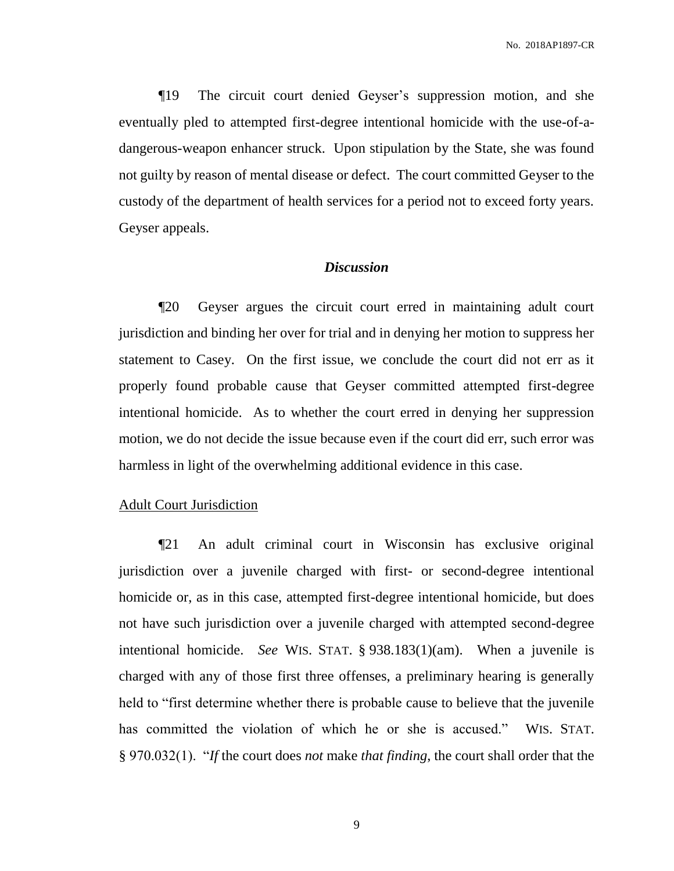¶19 The circuit court denied Geyser's suppression motion, and she eventually pled to attempted first-degree intentional homicide with the use-of-adangerous-weapon enhancer struck. Upon stipulation by the State, she was found not guilty by reason of mental disease or defect. The court committed Geyser to the custody of the department of health services for a period not to exceed forty years. Geyser appeals.

### *Discussion*

¶20 Geyser argues the circuit court erred in maintaining adult court jurisdiction and binding her over for trial and in denying her motion to suppress her statement to Casey. On the first issue, we conclude the court did not err as it properly found probable cause that Geyser committed attempted first-degree intentional homicide. As to whether the court erred in denying her suppression motion, we do not decide the issue because even if the court did err, such error was harmless in light of the overwhelming additional evidence in this case.

### Adult Court Jurisdiction

¶21 An adult criminal court in Wisconsin has exclusive original jurisdiction over a juvenile charged with first- or second-degree intentional homicide or, as in this case, attempted first-degree intentional homicide, but does not have such jurisdiction over a juvenile charged with attempted second-degree intentional homicide. *See* WIS. STAT. § 938.183(1)(am). When a juvenile is charged with any of those first three offenses, a preliminary hearing is generally held to "first determine whether there is probable cause to believe that the juvenile has committed the violation of which he or she is accused." WIS. STAT. § 970.032(1). "*If* the court does *not* make *that finding*, the court shall order that the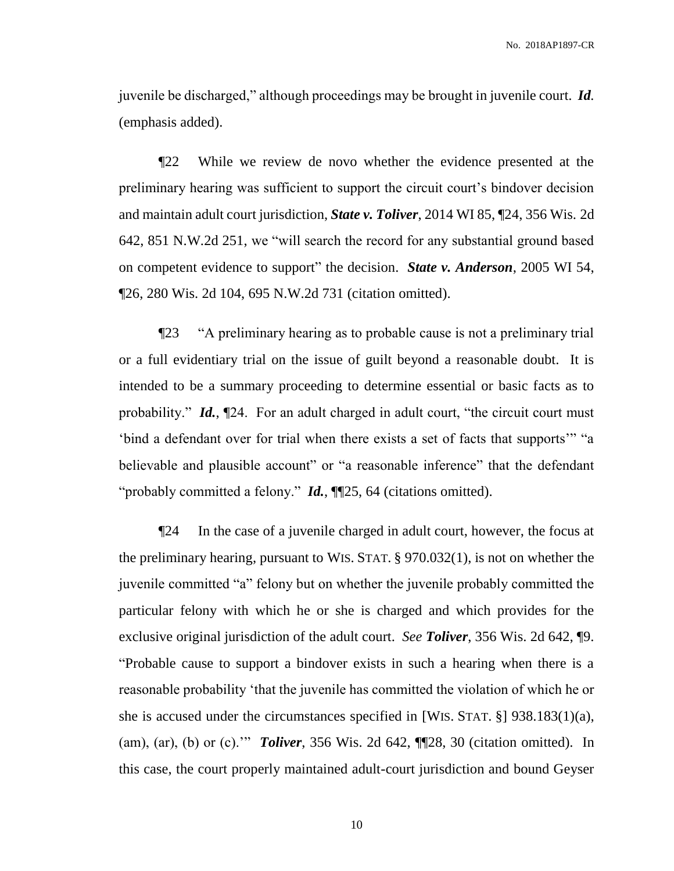juvenile be discharged," although proceedings may be brought in juvenile court. *Id.* (emphasis added).

¶22 While we review de novo whether the evidence presented at the preliminary hearing was sufficient to support the circuit court's bindover decision and maintain adult court jurisdiction, *State v. Toliver*, 2014 WI 85, ¶24, 356 Wis. 2d 642, 851 N.W.2d 251, we "will search the record for any substantial ground based on competent evidence to support" the decision. *State v. Anderson*, 2005 WI 54, ¶26, 280 Wis. 2d 104, 695 N.W.2d 731 (citation omitted).

¶23 "A preliminary hearing as to probable cause is not a preliminary trial or a full evidentiary trial on the issue of guilt beyond a reasonable doubt. It is intended to be a summary proceeding to determine essential or basic facts as to probability." *Id.*,  $\mathbb{Z}^2$ . For an adult charged in adult court, "the circuit court must 'bind a defendant over for trial when there exists a set of facts that supports'" "a believable and plausible account" or "a reasonable inference" that the defendant "probably committed a felony." *Id.*, ¶¶25, 64 (citations omitted).

¶24 In the case of a juvenile charged in adult court, however, the focus at the preliminary hearing, pursuant to WIS. STAT. § 970.032(1), is not on whether the juvenile committed "a" felony but on whether the juvenile probably committed the particular felony with which he or she is charged and which provides for the exclusive original jurisdiction of the adult court. *See Toliver*, 356 Wis. 2d 642, ¶9. "Probable cause to support a bindover exists in such a hearing when there is a reasonable probability 'that the juvenile has committed the violation of which he or she is accused under the circumstances specified in [WIS. STAT. §] 938.183(1)(a), (am), (ar), (b) or (c).'" *Toliver*, 356 Wis. 2d 642, ¶¶28, 30 (citation omitted). In this case, the court properly maintained adult-court jurisdiction and bound Geyser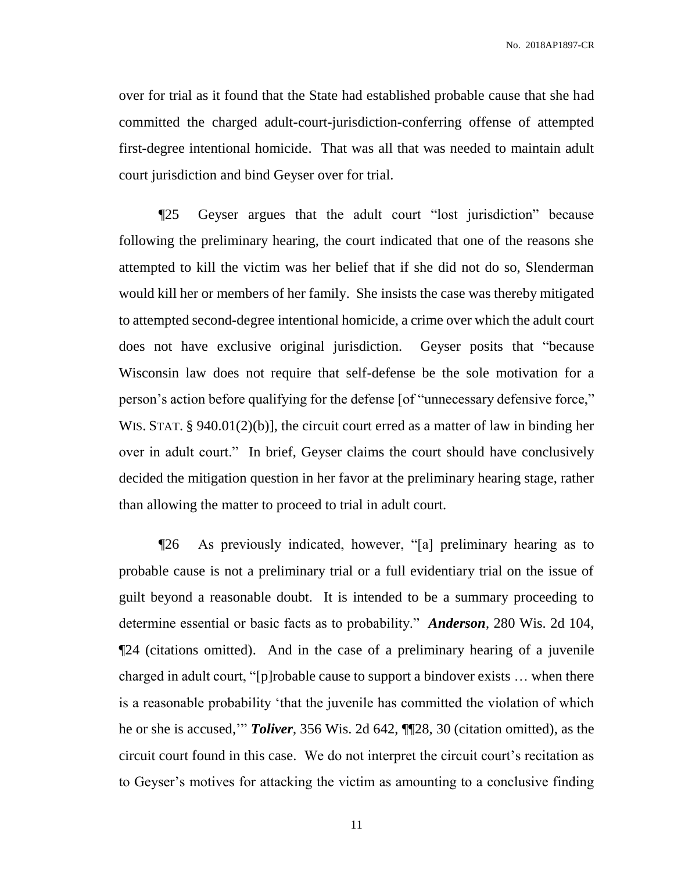over for trial as it found that the State had established probable cause that she had committed the charged adult-court-jurisdiction-conferring offense of attempted first-degree intentional homicide. That was all that was needed to maintain adult court jurisdiction and bind Geyser over for trial.

¶25 Geyser argues that the adult court "lost jurisdiction" because following the preliminary hearing, the court indicated that one of the reasons she attempted to kill the victim was her belief that if she did not do so, Slenderman would kill her or members of her family. She insists the case was thereby mitigated to attempted second-degree intentional homicide, a crime over which the adult court does not have exclusive original jurisdiction. Geyser posits that "because Wisconsin law does not require that self-defense be the sole motivation for a person's action before qualifying for the defense [of "unnecessary defensive force," WIS. STAT. § 940.01(2)(b)], the circuit court erred as a matter of law in binding her over in adult court." In brief, Geyser claims the court should have conclusively decided the mitigation question in her favor at the preliminary hearing stage, rather than allowing the matter to proceed to trial in adult court.

¶26 As previously indicated, however, "[a] preliminary hearing as to probable cause is not a preliminary trial or a full evidentiary trial on the issue of guilt beyond a reasonable doubt. It is intended to be a summary proceeding to determine essential or basic facts as to probability." *Anderson*, 280 Wis. 2d 104, ¶24 (citations omitted). And in the case of a preliminary hearing of a juvenile charged in adult court, "[p]robable cause to support a bindover exists … when there is a reasonable probability 'that the juvenile has committed the violation of which he or she is accused,'" *Toliver*, 356 Wis. 2d 642, ¶¶28, 30 (citation omitted), as the circuit court found in this case. We do not interpret the circuit court's recitation as to Geyser's motives for attacking the victim as amounting to a conclusive finding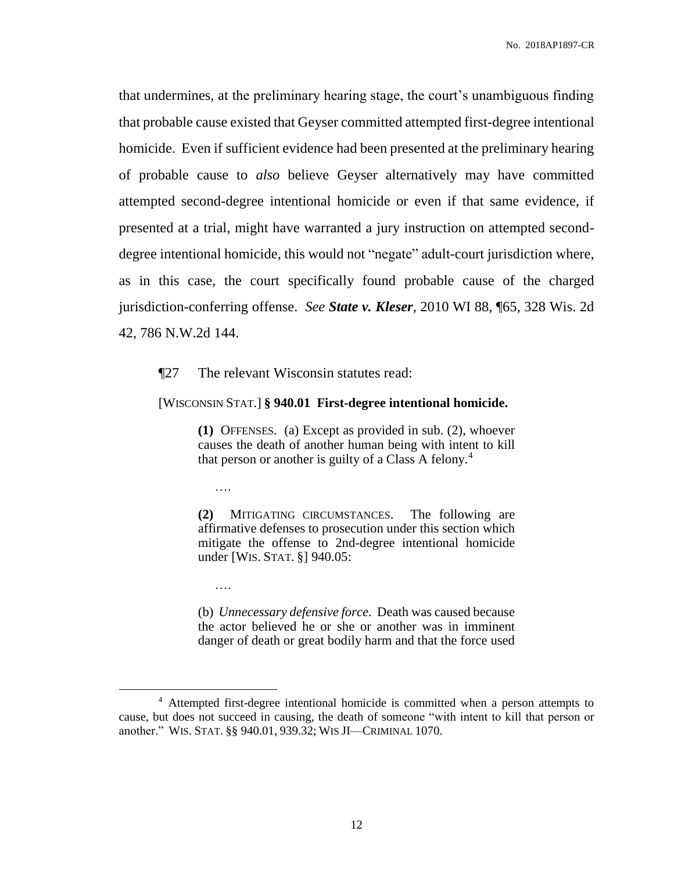that undermines, at the preliminary hearing stage, the court's unambiguous finding that probable cause existed that Geyser committed attempted first-degree intentional homicide. Even if sufficient evidence had been presented at the preliminary hearing of probable cause to *also* believe Geyser alternatively may have committed attempted second-degree intentional homicide or even if that same evidence, if presented at a trial, might have warranted a jury instruction on attempted seconddegree intentional homicide, this would not "negate" adult-court jurisdiction where, as in this case, the court specifically found probable cause of the charged jurisdiction-conferring offense. *See State v. Kleser*, 2010 WI 88, ¶65, 328 Wis. 2d 42, 786 N.W.2d 144.

¶27 The relevant Wisconsin statutes read:

[WISCONSIN STAT.] **§ 940.01 First-degree intentional homicide.**

**(1)** OFFENSES. (a) Except as provided in sub. (2), whoever causes the death of another human being with intent to kill that person or another is guilty of a Class A felony.<sup>4</sup>

….

….

 $\overline{a}$ 

**(2)** MITIGATING CIRCUMSTANCES. The following are affirmative defenses to prosecution under this section which mitigate the offense to 2nd-degree intentional homicide under [WIS. STAT. §] 940.05:

(b) *Unnecessary defensive force*. Death was caused because the actor believed he or she or another was in imminent danger of death or great bodily harm and that the force used

<sup>4</sup> Attempted first-degree intentional homicide is committed when a person attempts to cause, but does not succeed in causing, the death of someone "with intent to kill that person or another." WIS. STAT. §§ 940.01, 939.32; WIS JI—CRIMINAL 1070.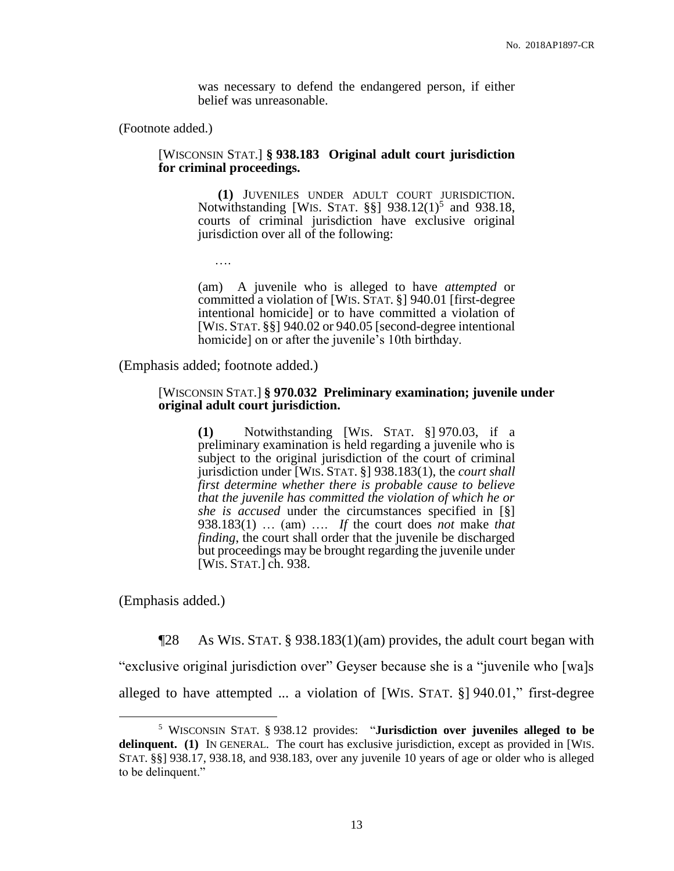was necessary to defend the endangered person, if either belief was unreasonable.

(Footnote added.)

### [WISCONSIN STAT.] **§ 938.183 Original adult court jurisdiction for criminal proceedings.**

**(1)** JUVENILES UNDER ADULT COURT JURISDICTION. Notwithstanding [WIS. STAT.  $\S$ ] 938.12(1)<sup>5</sup> and 938.18, courts of criminal jurisdiction have exclusive original jurisdiction over all of the following:

….

(am) A juvenile who is alleged to have *attempted* or committed a violation of [WIS. STAT. §] 940.01 [first-degree intentional homicide] or to have committed a violation of [WIS. STAT. §§] 940.02 or 940.05 [second-degree intentional homicide] on or after the juvenile's 10th birthday.

(Emphasis added; footnote added.)

### [WISCONSIN STAT.] **§ 970.032 Preliminary examination; juvenile under original adult court jurisdiction.**

**(1)** Notwithstanding [WIS. STAT. §] 970.03, if a preliminary examination is held regarding a juvenile who is subject to the original jurisdiction of the court of criminal jurisdiction under [WIS. STAT. §] 938.183(1), the *court shall first determine whether there is probable cause to believe that the juvenile has committed the violation of which he or she is accused* under the circumstances specified in [§] 938.183(1) … (am) …. *If* the court does *not* make *that finding*, the court shall order that the juvenile be discharged but proceedings may be brought regarding the juvenile under [WIS. STAT.] ch. 938.

(Emphasis added.)

 $\overline{a}$ 

¶28 As WIS. STAT. § 938.183(1)(am) provides, the adult court began with "exclusive original jurisdiction over" Geyser because she is a "juvenile who [wa]s alleged to have attempted ... a violation of [WIS. STAT. §] 940.01," first-degree

<sup>5</sup> WISCONSIN STAT. § 938.12 provides: "**Jurisdiction over juveniles alleged to be delinquent. (1)** IN GENERAL. The court has exclusive jurisdiction, except as provided in [WIS. STAT. §§] 938.17, 938.18, and 938.183, over any juvenile 10 years of age or older who is alleged to be delinquent."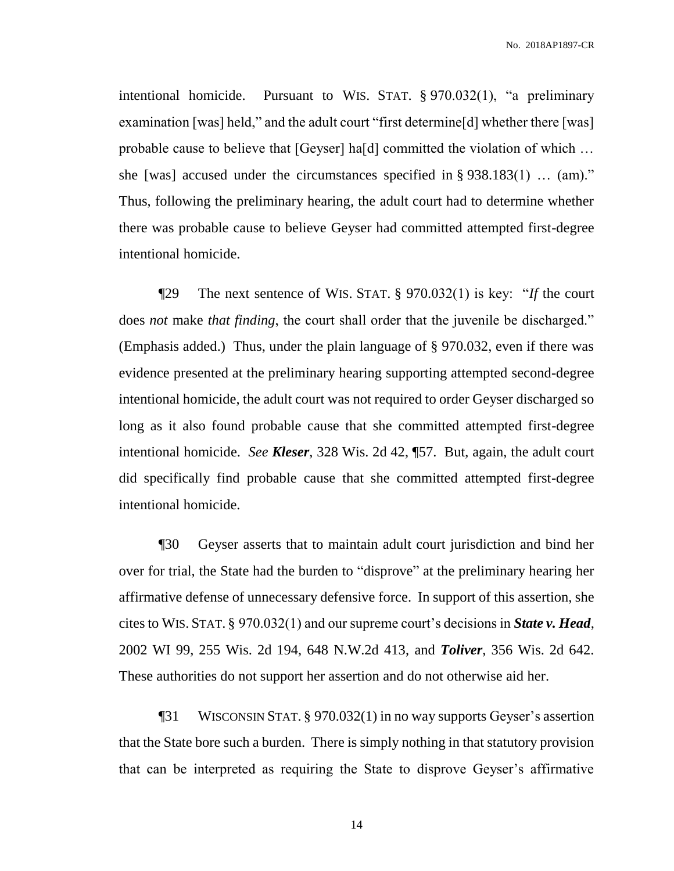intentional homicide. Pursuant to WIS. STAT. § 970.032(1), "a preliminary examination [was] held," and the adult court "first determine[d] whether there [was] probable cause to believe that [Geyser] ha[d] committed the violation of which … she [was] accused under the circumstances specified in § 938.183(1) … (am)." Thus, following the preliminary hearing, the adult court had to determine whether there was probable cause to believe Geyser had committed attempted first-degree intentional homicide.

¶29 The next sentence of WIS. STAT. § 970.032(1) is key: "*If* the court does *not* make *that finding*, the court shall order that the juvenile be discharged." (Emphasis added.) Thus, under the plain language of § 970.032, even if there was evidence presented at the preliminary hearing supporting attempted second-degree intentional homicide, the adult court was not required to order Geyser discharged so long as it also found probable cause that she committed attempted first-degree intentional homicide. *See Kleser*, 328 Wis. 2d 42, ¶57. But, again, the adult court did specifically find probable cause that she committed attempted first-degree intentional homicide.

¶30 Geyser asserts that to maintain adult court jurisdiction and bind her over for trial, the State had the burden to "disprove" at the preliminary hearing her affirmative defense of unnecessary defensive force. In support of this assertion, she cites to WIS. STAT. § 970.032(1) and our supreme court's decisions in *State v. Head*, 2002 WI 99, 255 Wis. 2d 194, 648 N.W.2d 413, and *Toliver*, 356 Wis. 2d 642. These authorities do not support her assertion and do not otherwise aid her.

¶31 WISCONSIN STAT. § 970.032(1) in no way supports Geyser's assertion that the State bore such a burden. There is simply nothing in that statutory provision that can be interpreted as requiring the State to disprove Geyser's affirmative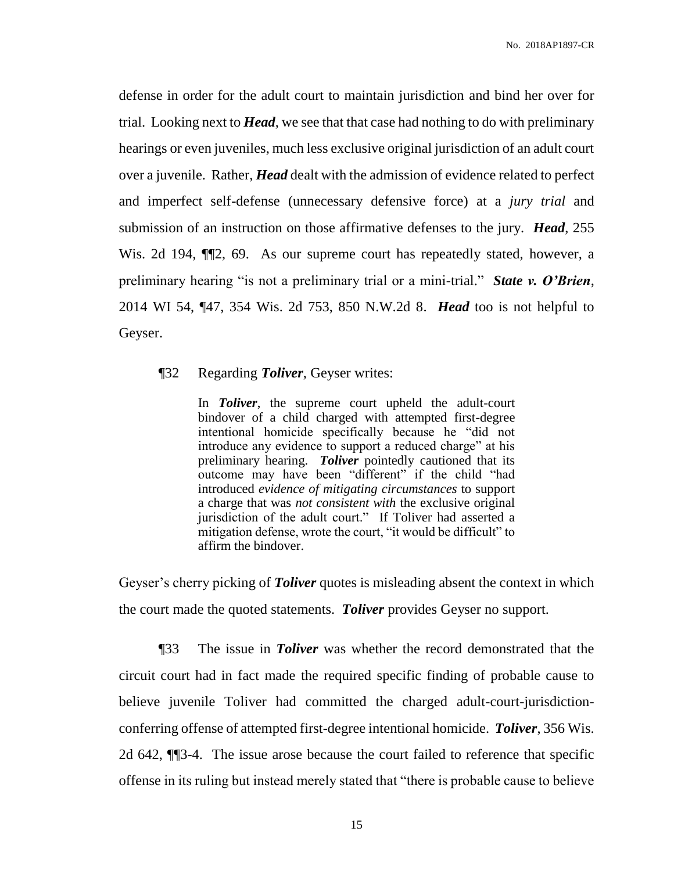defense in order for the adult court to maintain jurisdiction and bind her over for trial. Looking next to *Head*, we see that that case had nothing to do with preliminary hearings or even juveniles, much less exclusive original jurisdiction of an adult court over a juvenile. Rather, *Head* dealt with the admission of evidence related to perfect and imperfect self-defense (unnecessary defensive force) at a *jury trial* and submission of an instruction on those affirmative defenses to the jury. *Head*, 255 Wis. 2d 194,  $\P$ 2, 69. As our supreme court has repeatedly stated, however, a preliminary hearing "is not a preliminary trial or a mini-trial." *State v. O'Brien*, 2014 WI 54, ¶47, 354 Wis. 2d 753, 850 N.W.2d 8. *Head* too is not helpful to Geyser.

### ¶32 Regarding *Toliver*, Geyser writes:

In *Toliver*, the supreme court upheld the adult-court bindover of a child charged with attempted first-degree intentional homicide specifically because he "did not introduce any evidence to support a reduced charge" at his preliminary hearing. *Toliver* pointedly cautioned that its outcome may have been "different" if the child "had introduced *evidence of mitigating circumstances* to support a charge that was *not consistent with* the exclusive original jurisdiction of the adult court." If Toliver had asserted a mitigation defense, wrote the court, "it would be difficult" to affirm the bindover.

Geyser's cherry picking of *Toliver* quotes is misleading absent the context in which the court made the quoted statements. *Toliver* provides Geyser no support.

¶33 The issue in *Toliver* was whether the record demonstrated that the circuit court had in fact made the required specific finding of probable cause to believe juvenile Toliver had committed the charged adult-court-jurisdictionconferring offense of attempted first-degree intentional homicide. *Toliver*, 356 Wis. 2d 642, ¶¶3-4. The issue arose because the court failed to reference that specific offense in its ruling but instead merely stated that "there is probable cause to believe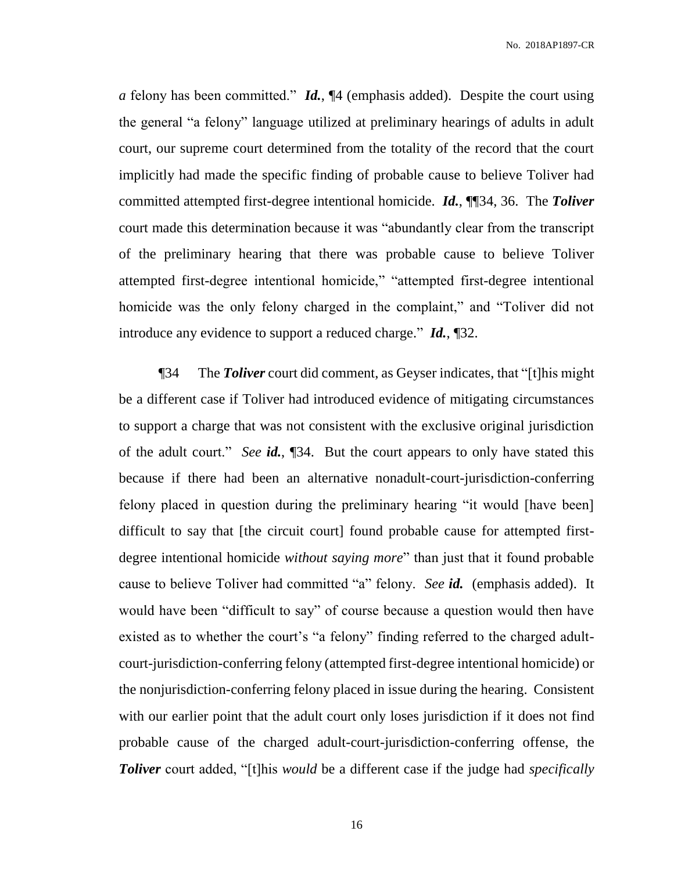*a* felony has been committed." *Id.*, ¶4 (emphasis added). Despite the court using the general "a felony" language utilized at preliminary hearings of adults in adult court, our supreme court determined from the totality of the record that the court implicitly had made the specific finding of probable cause to believe Toliver had committed attempted first-degree intentional homicide. *Id.*, ¶¶34, 36. The *Toliver* court made this determination because it was "abundantly clear from the transcript of the preliminary hearing that there was probable cause to believe Toliver attempted first-degree intentional homicide," "attempted first-degree intentional homicide was the only felony charged in the complaint," and "Toliver did not introduce any evidence to support a reduced charge." *Id.*, ¶32.

¶34 The *Toliver* court did comment, as Geyser indicates, that "[t]his might be a different case if Toliver had introduced evidence of mitigating circumstances to support a charge that was not consistent with the exclusive original jurisdiction of the adult court." *See id.*, ¶34. But the court appears to only have stated this because if there had been an alternative nonadult-court-jurisdiction-conferring felony placed in question during the preliminary hearing "it would [have been] difficult to say that [the circuit court] found probable cause for attempted firstdegree intentional homicide *without saying more*" than just that it found probable cause to believe Toliver had committed "a" felony. *See id.* (emphasis added). It would have been "difficult to say" of course because a question would then have existed as to whether the court's "a felony" finding referred to the charged adultcourt-jurisdiction-conferring felony (attempted first-degree intentional homicide) or the nonjurisdiction-conferring felony placed in issue during the hearing. Consistent with our earlier point that the adult court only loses jurisdiction if it does not find probable cause of the charged adult-court-jurisdiction-conferring offense, the *Toliver* court added, "[t]his *would* be a different case if the judge had *specifically*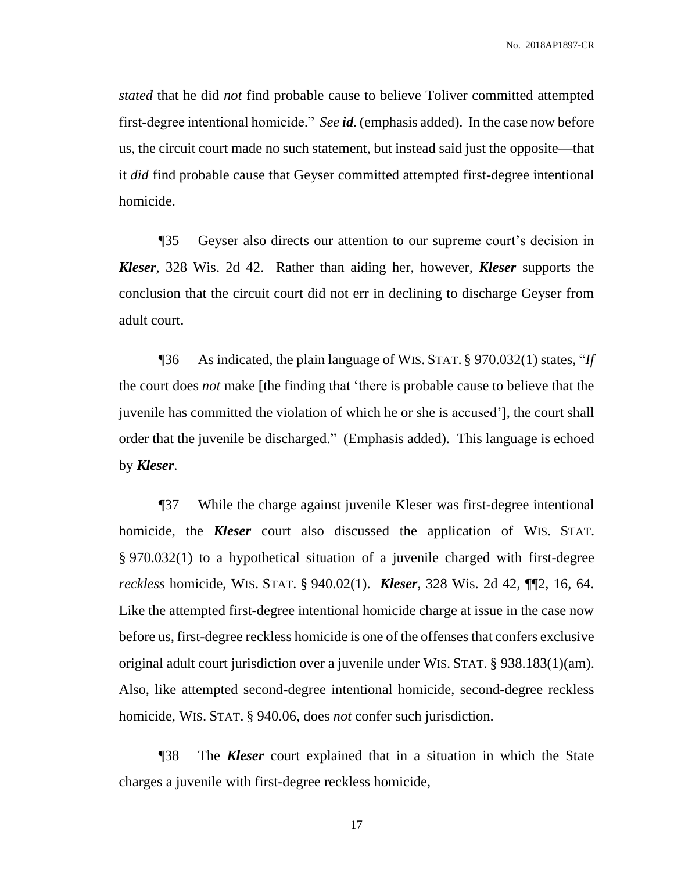*stated* that he did *not* find probable cause to believe Toliver committed attempted first-degree intentional homicide." *See id.* (emphasis added). In the case now before us, the circuit court made no such statement, but instead said just the opposite—that it *did* find probable cause that Geyser committed attempted first-degree intentional homicide.

¶35 Geyser also directs our attention to our supreme court's decision in *Kleser*, 328 Wis. 2d 42. Rather than aiding her, however, *Kleser* supports the conclusion that the circuit court did not err in declining to discharge Geyser from adult court.

¶36 As indicated, the plain language of WIS. STAT. § 970.032(1) states, "*If* the court does *not* make [the finding that 'there is probable cause to believe that the juvenile has committed the violation of which he or she is accused'], the court shall order that the juvenile be discharged." (Emphasis added). This language is echoed by *Kleser*.

¶37 While the charge against juvenile Kleser was first-degree intentional homicide, the *Kleser* court also discussed the application of WIS. STAT. § 970.032(1) to a hypothetical situation of a juvenile charged with first-degree *reckless* homicide, WIS. STAT. § 940.02(1). *Kleser*, 328 Wis. 2d 42, ¶¶2, 16, 64. Like the attempted first-degree intentional homicide charge at issue in the case now before us, first-degree reckless homicide is one of the offenses that confers exclusive original adult court jurisdiction over a juvenile under WIS. STAT. § 938.183(1)(am). Also, like attempted second-degree intentional homicide, second-degree reckless homicide, WIS. STAT. § 940.06, does *not* confer such jurisdiction.

¶38 The *Kleser* court explained that in a situation in which the State charges a juvenile with first-degree reckless homicide,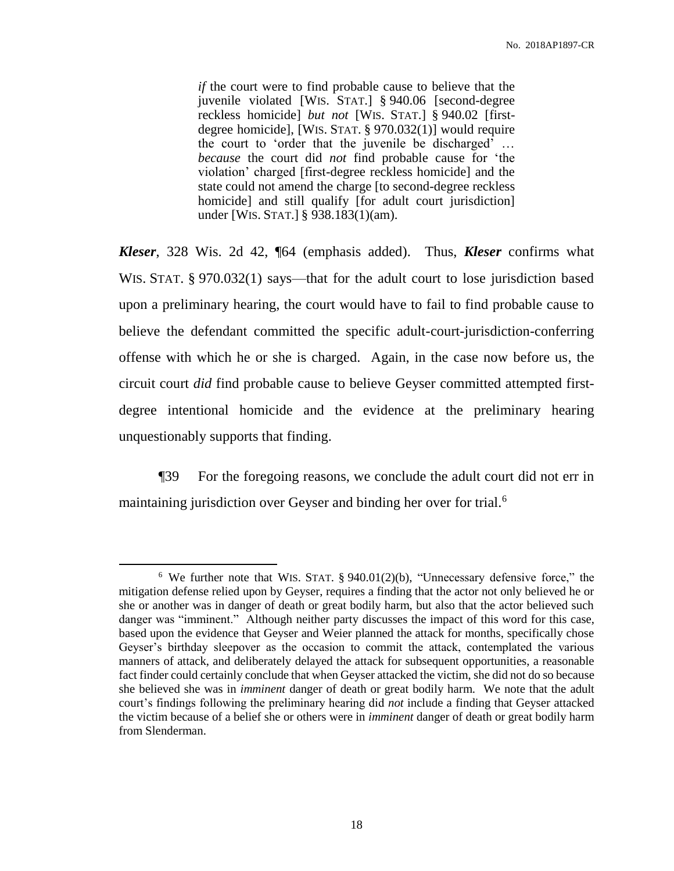*if* the court were to find probable cause to believe that the juvenile violated [WIS. STAT.] § 940.06 [second-degree reckless homicide] *but not* [WIS. STAT.] § 940.02 [firstdegree homicide], [WIS. STAT. § 970.032(1)] would require the court to 'order that the juvenile be discharged' … *because* the court did *not* find probable cause for 'the violation' charged [first-degree reckless homicide] and the state could not amend the charge [to second-degree reckless homicide] and still qualify [for adult court jurisdiction] under [WIS. STAT.] § 938.183(1)(am).

*Kleser*, 328 Wis. 2d 42, ¶64 (emphasis added). Thus, *Kleser* confirms what WIS. STAT. § 970.032(1) says—that for the adult court to lose jurisdiction based upon a preliminary hearing, the court would have to fail to find probable cause to believe the defendant committed the specific adult-court-jurisdiction-conferring offense with which he or she is charged. Again, in the case now before us, the circuit court *did* find probable cause to believe Geyser committed attempted firstdegree intentional homicide and the evidence at the preliminary hearing unquestionably supports that finding.

¶39 For the foregoing reasons, we conclude the adult court did not err in maintaining jurisdiction over Geyser and binding her over for trial.<sup>6</sup>

<sup>6</sup> We further note that WIS. STAT. § 940.01(2)(b), "Unnecessary defensive force," the mitigation defense relied upon by Geyser, requires a finding that the actor not only believed he or she or another was in danger of death or great bodily harm, but also that the actor believed such danger was "imminent." Although neither party discusses the impact of this word for this case, based upon the evidence that Geyser and Weier planned the attack for months, specifically chose Geyser's birthday sleepover as the occasion to commit the attack, contemplated the various manners of attack, and deliberately delayed the attack for subsequent opportunities, a reasonable fact finder could certainly conclude that when Geyser attacked the victim, she did not do so because she believed she was in *imminent* danger of death or great bodily harm. We note that the adult court's findings following the preliminary hearing did *not* include a finding that Geyser attacked the victim because of a belief she or others were in *imminent* danger of death or great bodily harm from Slenderman.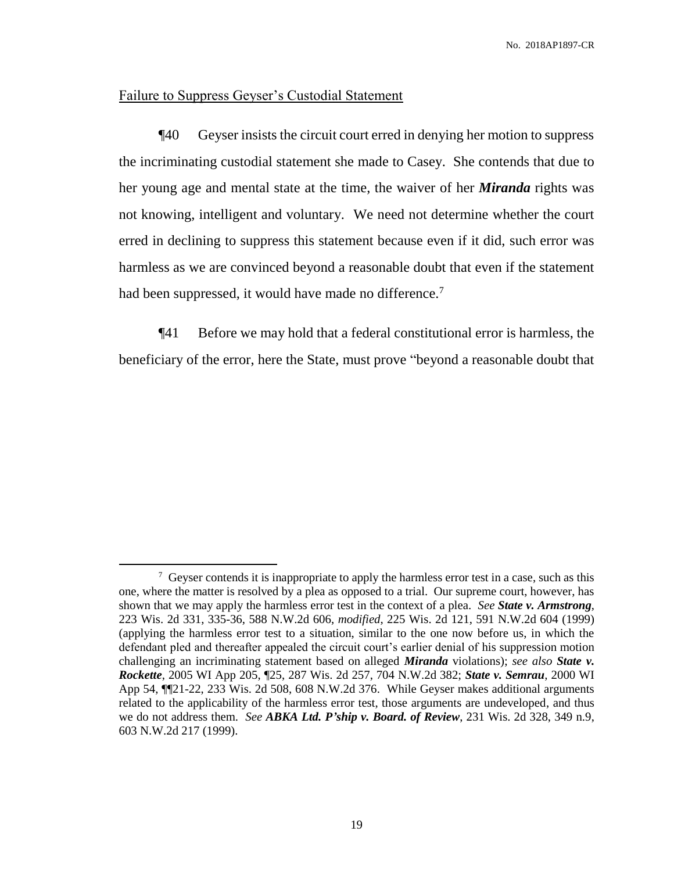# Failure to Suppress Geyser's Custodial Statement

 $\overline{a}$ 

¶40 Geyser insists the circuit court erred in denying her motion to suppress the incriminating custodial statement she made to Casey. She contends that due to her young age and mental state at the time, the waiver of her *Miranda* rights was not knowing, intelligent and voluntary. We need not determine whether the court erred in declining to suppress this statement because even if it did, such error was harmless as we are convinced beyond a reasonable doubt that even if the statement had been suppressed, it would have made no difference.<sup>7</sup>

¶41 Before we may hold that a federal constitutional error is harmless, the beneficiary of the error, here the State, must prove "beyond a reasonable doubt that

 $7$  Geyser contends it is inappropriate to apply the harmless error test in a case, such as this one, where the matter is resolved by a plea as opposed to a trial. Our supreme court, however, has shown that we may apply the harmless error test in the context of a plea. *See State v. Armstrong*, 223 Wis. 2d 331, 335-36, 588 N.W.2d 606, *modified*, 225 Wis. 2d 121, 591 N.W.2d 604 (1999) (applying the harmless error test to a situation, similar to the one now before us, in which the defendant pled and thereafter appealed the circuit court's earlier denial of his suppression motion challenging an incriminating statement based on alleged *Miranda* violations); *see also State v. Rockette*, 2005 WI App 205, ¶25, 287 Wis. 2d 257, 704 N.W.2d 382; *State v. Semrau*, 2000 WI App 54, ¶¶21-22, 233 Wis. 2d 508, 608 N.W.2d 376. While Geyser makes additional arguments related to the applicability of the harmless error test, those arguments are undeveloped, and thus we do not address them. *See ABKA Ltd. P'ship v. Board. of Review*, 231 Wis. 2d 328, 349 n.9, 603 N.W.2d 217 (1999).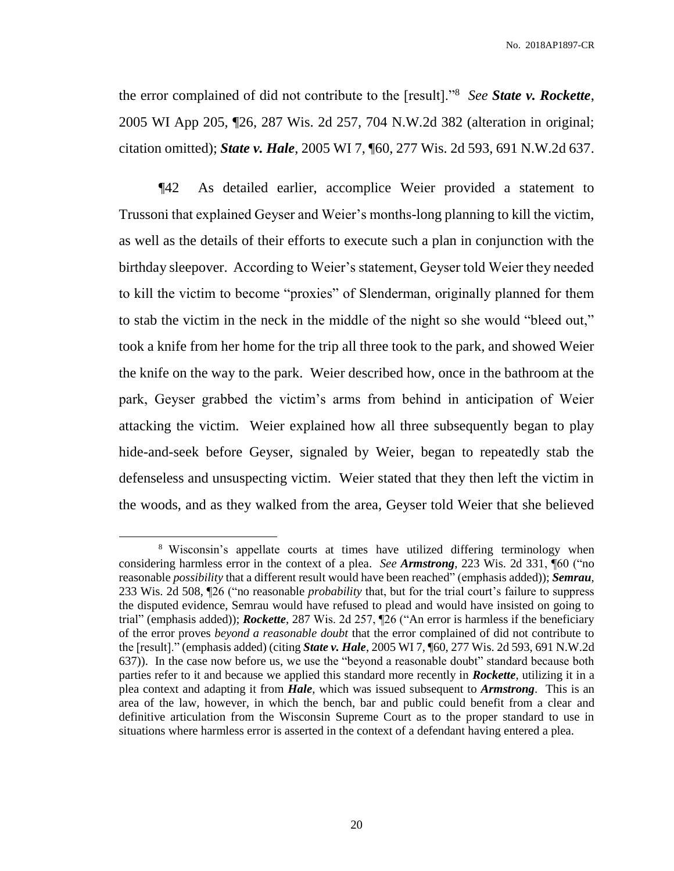the error complained of did not contribute to the [result]."<sup>8</sup> *See State v. Rockette*, 2005 WI App 205, ¶26, 287 Wis. 2d 257, 704 N.W.2d 382 (alteration in original; citation omitted); *State v. Hale*, 2005 WI 7, ¶60, 277 Wis. 2d 593, 691 N.W.2d 637.

¶42 As detailed earlier, accomplice Weier provided a statement to Trussoni that explained Geyser and Weier's months-long planning to kill the victim, as well as the details of their efforts to execute such a plan in conjunction with the birthday sleepover. According to Weier's statement, Geyser told Weier they needed to kill the victim to become "proxies" of Slenderman, originally planned for them to stab the victim in the neck in the middle of the night so she would "bleed out," took a knife from her home for the trip all three took to the park, and showed Weier the knife on the way to the park. Weier described how, once in the bathroom at the park, Geyser grabbed the victim's arms from behind in anticipation of Weier attacking the victim. Weier explained how all three subsequently began to play hide-and-seek before Geyser, signaled by Weier, began to repeatedly stab the defenseless and unsuspecting victim. Weier stated that they then left the victim in the woods, and as they walked from the area, Geyser told Weier that she believed

<sup>&</sup>lt;sup>8</sup> Wisconsin's appellate courts at times have utilized differing terminology when considering harmless error in the context of a plea. *See Armstrong*, 223 Wis. 2d 331, ¶60 ("no reasonable *possibility* that a different result would have been reached" (emphasis added)); *Semrau*, 233 Wis. 2d 508, ¶26 ("no reasonable *probability* that, but for the trial court's failure to suppress the disputed evidence, Semrau would have refused to plead and would have insisted on going to trial" (emphasis added)); *Rockette*, 287 Wis. 2d 257, ¶26 ("An error is harmless if the beneficiary of the error proves *beyond a reasonable doubt* that the error complained of did not contribute to the [result]." (emphasis added) (citing *State v. Hale*, 2005 WI 7, ¶60, 277 Wis. 2d 593, 691 N.W.2d 637)). In the case now before us, we use the "beyond a reasonable doubt" standard because both parties refer to it and because we applied this standard more recently in *Rockette*, utilizing it in a plea context and adapting it from *Hale*, which was issued subsequent to *Armstrong*. This is an area of the law, however, in which the bench, bar and public could benefit from a clear and definitive articulation from the Wisconsin Supreme Court as to the proper standard to use in situations where harmless error is asserted in the context of a defendant having entered a plea.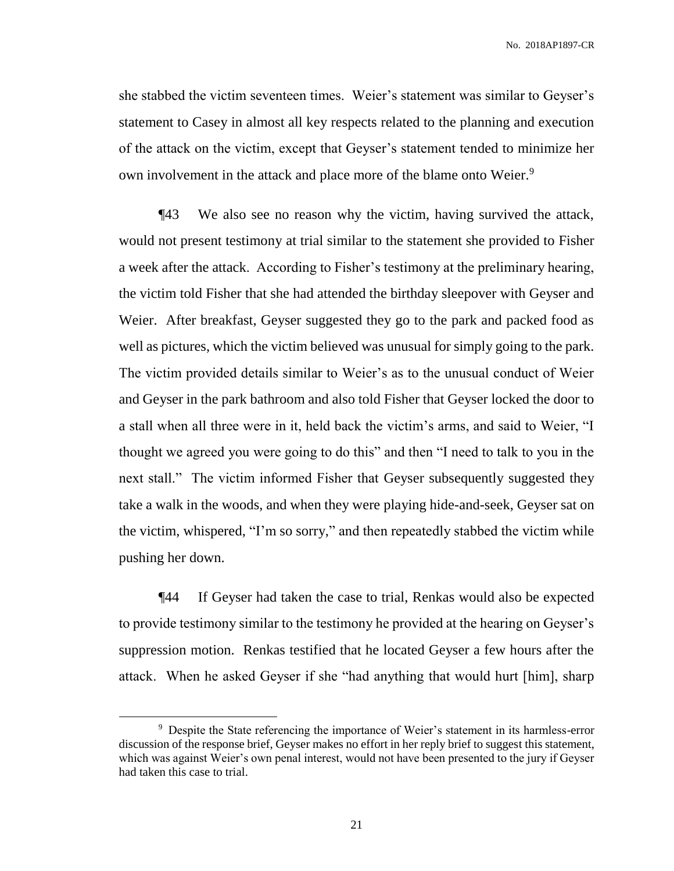she stabbed the victim seventeen times. Weier's statement was similar to Geyser's statement to Casey in almost all key respects related to the planning and execution of the attack on the victim, except that Geyser's statement tended to minimize her own involvement in the attack and place more of the blame onto Weier.<sup>9</sup>

¶43 We also see no reason why the victim, having survived the attack, would not present testimony at trial similar to the statement she provided to Fisher a week after the attack. According to Fisher's testimony at the preliminary hearing, the victim told Fisher that she had attended the birthday sleepover with Geyser and Weier. After breakfast, Geyser suggested they go to the park and packed food as well as pictures, which the victim believed was unusual for simply going to the park. The victim provided details similar to Weier's as to the unusual conduct of Weier and Geyser in the park bathroom and also told Fisher that Geyser locked the door to a stall when all three were in it, held back the victim's arms, and said to Weier, "I thought we agreed you were going to do this" and then "I need to talk to you in the next stall." The victim informed Fisher that Geyser subsequently suggested they take a walk in the woods, and when they were playing hide-and-seek, Geyser sat on the victim, whispered, "I'm so sorry," and then repeatedly stabbed the victim while pushing her down.

¶44 If Geyser had taken the case to trial, Renkas would also be expected to provide testimony similar to the testimony he provided at the hearing on Geyser's suppression motion. Renkas testified that he located Geyser a few hours after the attack. When he asked Geyser if she "had anything that would hurt [him], sharp

<sup>&</sup>lt;sup>9</sup> Despite the State referencing the importance of Weier's statement in its harmless-error discussion of the response brief, Geyser makes no effort in her reply brief to suggest this statement, which was against Weier's own penal interest, would not have been presented to the jury if Geyser had taken this case to trial.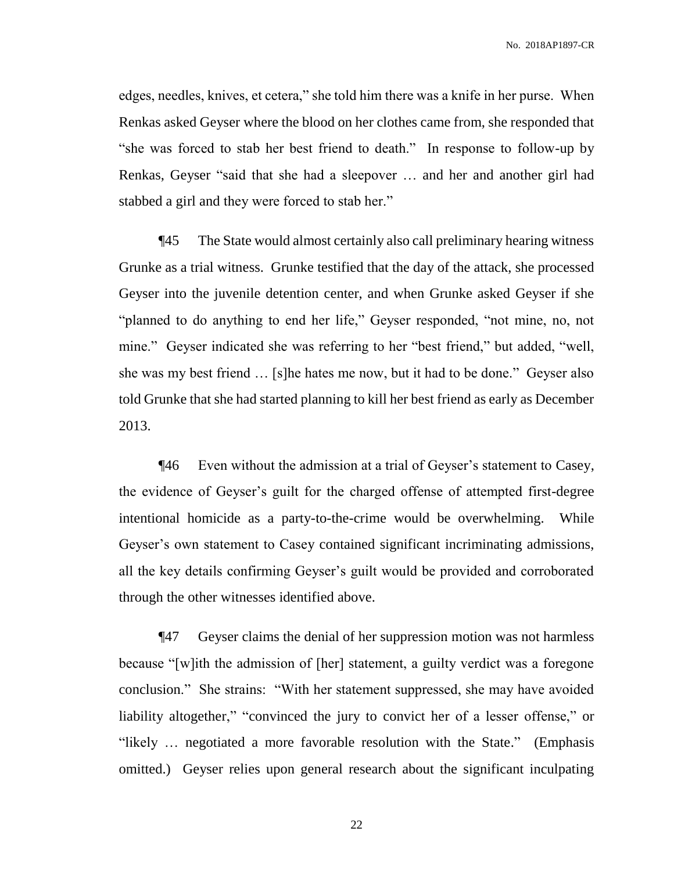edges, needles, knives, et cetera," she told him there was a knife in her purse. When Renkas asked Geyser where the blood on her clothes came from, she responded that "she was forced to stab her best friend to death." In response to follow-up by Renkas, Geyser "said that she had a sleepover … and her and another girl had stabbed a girl and they were forced to stab her."

¶45 The State would almost certainly also call preliminary hearing witness Grunke as a trial witness. Grunke testified that the day of the attack, she processed Geyser into the juvenile detention center, and when Grunke asked Geyser if she "planned to do anything to end her life," Geyser responded, "not mine, no, not mine." Geyser indicated she was referring to her "best friend," but added, "well, she was my best friend … [s]he hates me now, but it had to be done." Geyser also told Grunke that she had started planning to kill her best friend as early as December 2013.

¶46 Even without the admission at a trial of Geyser's statement to Casey, the evidence of Geyser's guilt for the charged offense of attempted first-degree intentional homicide as a party-to-the-crime would be overwhelming. While Geyser's own statement to Casey contained significant incriminating admissions, all the key details confirming Geyser's guilt would be provided and corroborated through the other witnesses identified above.

¶47 Geyser claims the denial of her suppression motion was not harmless because "[w]ith the admission of [her] statement, a guilty verdict was a foregone conclusion." She strains: "With her statement suppressed, she may have avoided liability altogether," "convinced the jury to convict her of a lesser offense," or "likely … negotiated a more favorable resolution with the State." (Emphasis omitted.) Geyser relies upon general research about the significant inculpating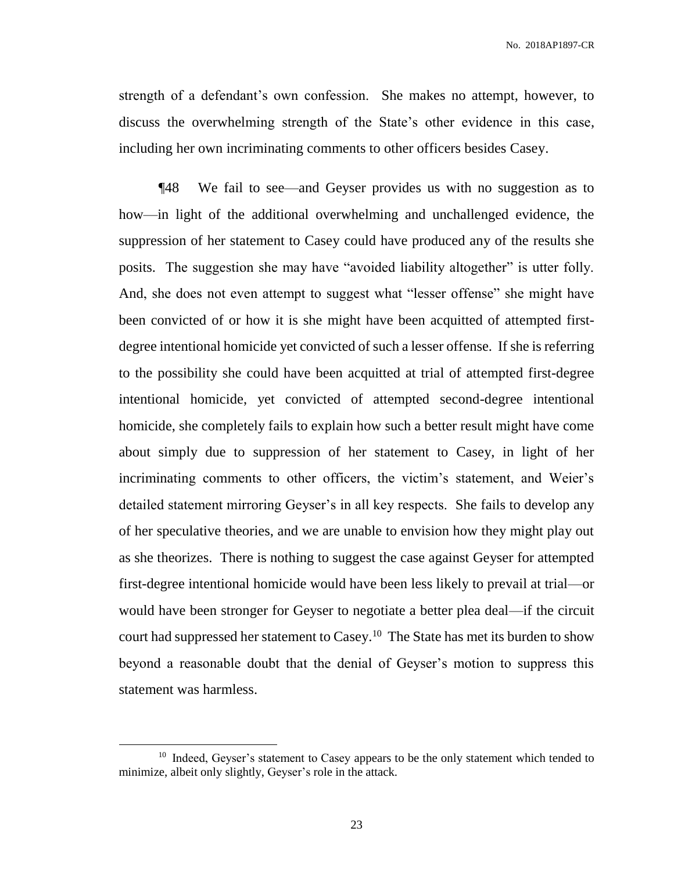strength of a defendant's own confession. She makes no attempt, however, to discuss the overwhelming strength of the State's other evidence in this case, including her own incriminating comments to other officers besides Casey.

¶48 We fail to see—and Geyser provides us with no suggestion as to how—in light of the additional overwhelming and unchallenged evidence, the suppression of her statement to Casey could have produced any of the results she posits. The suggestion she may have "avoided liability altogether" is utter folly. And, she does not even attempt to suggest what "lesser offense" she might have been convicted of or how it is she might have been acquitted of attempted firstdegree intentional homicide yet convicted of such a lesser offense. If she is referring to the possibility she could have been acquitted at trial of attempted first-degree intentional homicide, yet convicted of attempted second-degree intentional homicide, she completely fails to explain how such a better result might have come about simply due to suppression of her statement to Casey, in light of her incriminating comments to other officers, the victim's statement, and Weier's detailed statement mirroring Geyser's in all key respects. She fails to develop any of her speculative theories, and we are unable to envision how they might play out as she theorizes.There is nothing to suggest the case against Geyser for attempted first-degree intentional homicide would have been less likely to prevail at trial—or would have been stronger for Geyser to negotiate a better plea deal—if the circuit court had suppressed her statement to Casey.<sup>10</sup> The State has met its burden to show beyond a reasonable doubt that the denial of Geyser's motion to suppress this statement was harmless.

<sup>&</sup>lt;sup>10</sup> Indeed, Geyser's statement to Casey appears to be the only statement which tended to minimize, albeit only slightly, Geyser's role in the attack.